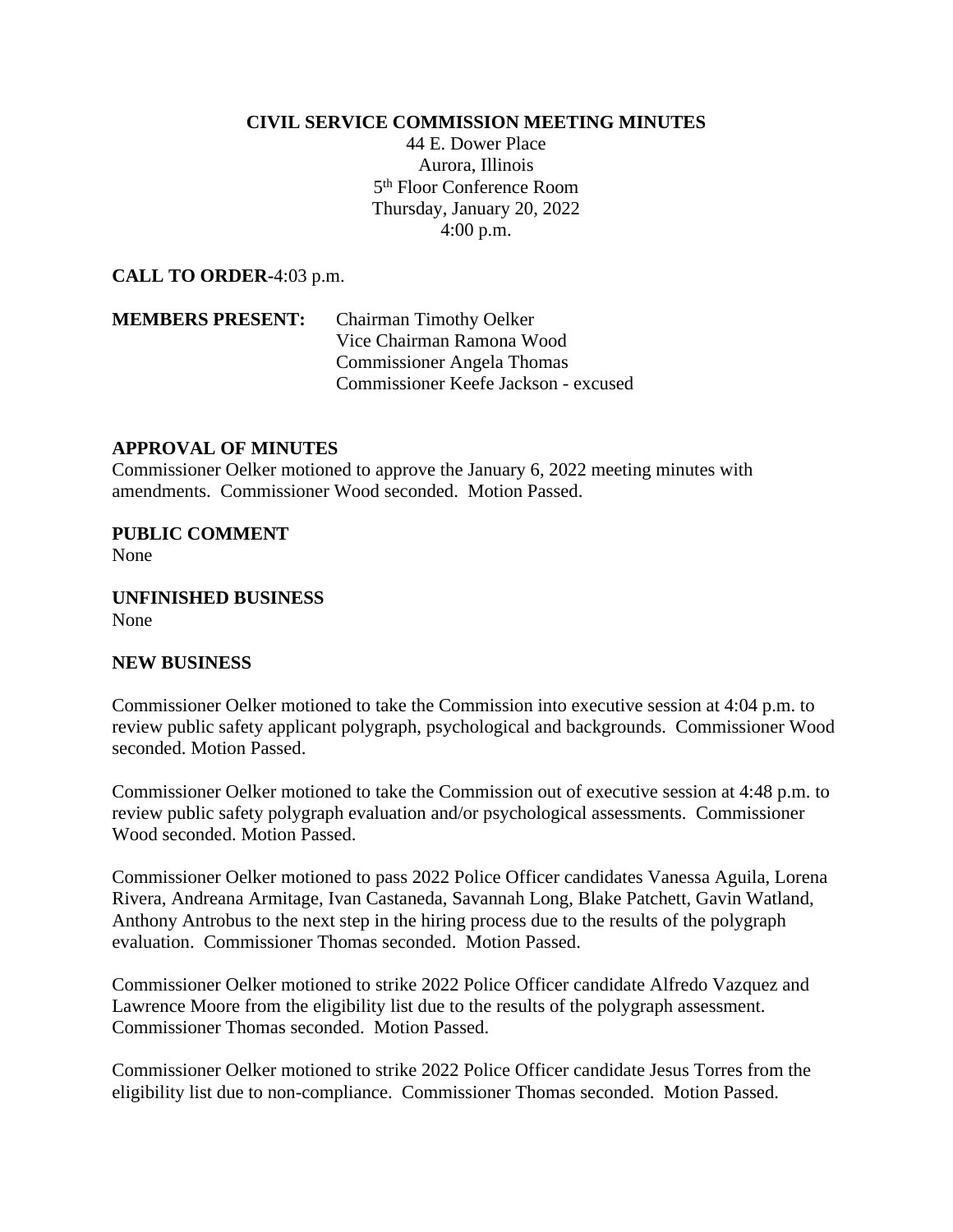## **CIVIL SERVICE COMMISSION MEETING MINUTES**

44 E. Dower Place Aurora, Illinois 5 th Floor Conference Room Thursday, January 20, 2022 4:00 p.m.

**CALL TO ORDER-**4:03 p.m.

**MEMBERS PRESENT:** Chairman Timothy Oelker Vice Chairman Ramona Wood Commissioner Angela Thomas Commissioner Keefe Jackson - excused

## **APPROVAL OF MINUTES**

Commissioner Oelker motioned to approve the January 6, 2022 meeting minutes with amendments. Commissioner Wood seconded. Motion Passed.

**PUBLIC COMMENT** None

**UNFINISHED BUSINESS** None

## **NEW BUSINESS**

Commissioner Oelker motioned to take the Commission into executive session at 4:04 p.m. to review public safety applicant polygraph, psychological and backgrounds. Commissioner Wood seconded. Motion Passed.

Commissioner Oelker motioned to take the Commission out of executive session at 4:48 p.m. to review public safety polygraph evaluation and/or psychological assessments. Commissioner Wood seconded. Motion Passed.

Commissioner Oelker motioned to pass 2022 Police Officer candidates Vanessa Aguila, Lorena Rivera, Andreana Armitage, Ivan Castaneda, Savannah Long, Blake Patchett, Gavin Watland, Anthony Antrobus to the next step in the hiring process due to the results of the polygraph evaluation. Commissioner Thomas seconded. Motion Passed.

Commissioner Oelker motioned to strike 2022 Police Officer candidate Alfredo Vazquez and Lawrence Moore from the eligibility list due to the results of the polygraph assessment. Commissioner Thomas seconded. Motion Passed.

Commissioner Oelker motioned to strike 2022 Police Officer candidate Jesus Torres from the eligibility list due to non-compliance. Commissioner Thomas seconded. Motion Passed.